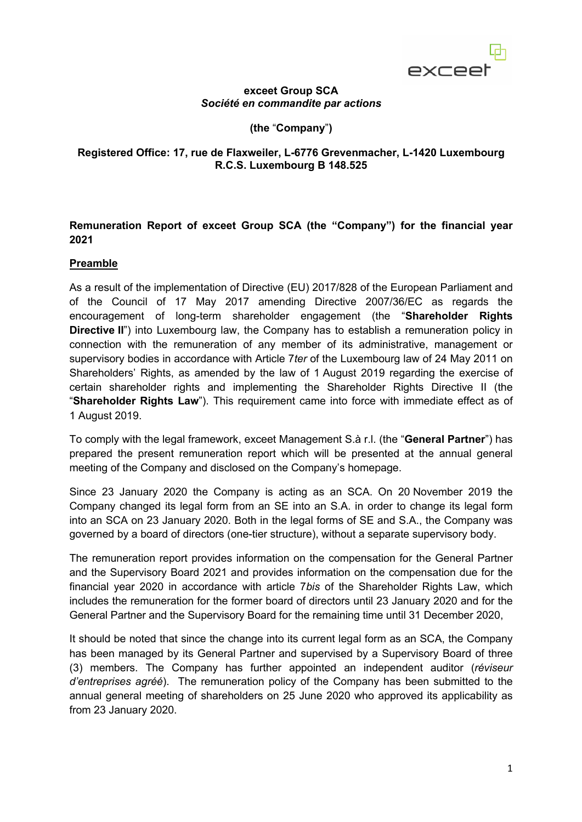exceet

#### **exceet Group SCA** *Société en commandite par actions*

**(the** "**Company**"**)**

#### **Registered Office: 17, rue de Flaxweiler, L-6776 Grevenmacher, L-1420 Luxembourg R.C.S. Luxembourg B 148.525**

### **Remuneration Report of exceet Group SCA (the "Company") for the financial year 2021**

### **Preamble**

As a result of the implementation of Directive (EU) 2017/828 of the European Parliament and of the Council of 17 May 2017 amending Directive 2007/36/EC as regards the encouragement of long-term shareholder engagement (the "**Shareholder Rights Directive II**") into Luxembourg law, the Company has to establish a remuneration policy in connection with the remuneration of any member of its administrative, management or supervisory bodies in accordance with Article 7*ter* of the Luxembourg law of 24 May 2011 on Shareholders' Rights, as amended by the law of 1 August 2019 regarding the exercise of certain shareholder rights and implementing the Shareholder Rights Directive II (the "**Shareholder Rights Law**"). This requirement came into force with immediate effect as of 1 August 2019.

To comply with the legal framework, exceet Management S.à r.l. (the "**General Partner**") has prepared the present remuneration report which will be presented at the annual general meeting of the Company and disclosed on the Company's homepage.

Since 23 January 2020 the Company is acting as an SCA. On 20 November 2019 the Company changed its legal form from an SE into an S.A. in order to change its legal form into an SCA on 23 January 2020. Both in the legal forms of SE and S.A., the Company was governed by a board of directors (one-tier structure), without a separate supervisory body.

The remuneration report provides information on the compensation for the General Partner and the Supervisory Board 2021 and provides information on the compensation due for the financial year 2020 in accordance with article 7*bis* of the Shareholder Rights Law, which includes the remuneration for the former board of directors until 23 January 2020 and for the General Partner and the Supervisory Board for the remaining time until 31 December 2020,

It should be noted that since the change into its current legal form as an SCA, the Company has been managed by its General Partner and supervised by a Supervisory Board of three (3) members. The Company has further appointed an independent auditor (*réviseur d'entreprises agréé*). The remuneration policy of the Company has been submitted to the annual general meeting of shareholders on 25 June 2020 who approved its applicability as from 23 January 2020.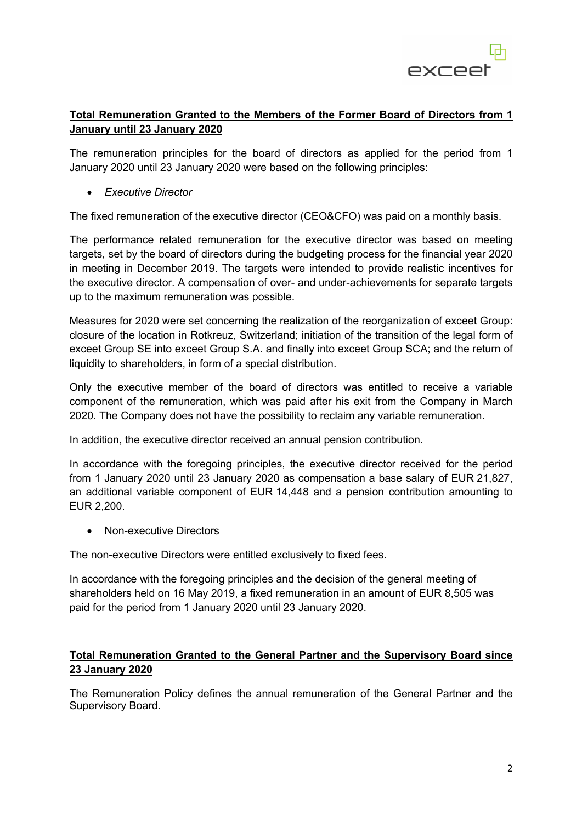

# **Total Remuneration Granted to the Members of the Former Board of Directors from 1 January until 23 January 2020**

The remuneration principles for the board of directors as applied for the period from 1 January 2020 until 23 January 2020 were based on the following principles:

• *Executive Director*

The fixed remuneration of the executive director (CEO&CFO) was paid on a monthly basis.

The performance related remuneration for the executive director was based on meeting targets, set by the board of directors during the budgeting process for the financial year 2020 in meeting in December 2019. The targets were intended to provide realistic incentives for the executive director. A compensation of over- and under-achievements for separate targets up to the maximum remuneration was possible.

Measures for 2020 were set concerning the realization of the reorganization of exceet Group: closure of the location in Rotkreuz, Switzerland; initiation of the transition of the legal form of exceet Group SE into exceet Group S.A. and finally into exceet Group SCA; and the return of liquidity to shareholders, in form of a special distribution.

Only the executive member of the board of directors was entitled to receive a variable component of the remuneration, which was paid after his exit from the Company in March 2020. The Company does not have the possibility to reclaim any variable remuneration.

In addition, the executive director received an annual pension contribution.

In accordance with the foregoing principles, the executive director received for the period from 1 January 2020 until 23 January 2020 as compensation a base salary of EUR 21,827, an additional variable component of EUR 14,448 and a pension contribution amounting to EUR 2,200.

• Non-executive Directors

The non-executive Directors were entitled exclusively to fixed fees.

In accordance with the foregoing principles and the decision of the general meeting of shareholders held on 16 May 2019, a fixed remuneration in an amount of EUR 8,505 was paid for the period from 1 January 2020 until 23 January 2020.

## **Total Remuneration Granted to the General Partner and the Supervisory Board since 23 January 2020**

The Remuneration Policy defines the annual remuneration of the General Partner and the Supervisory Board.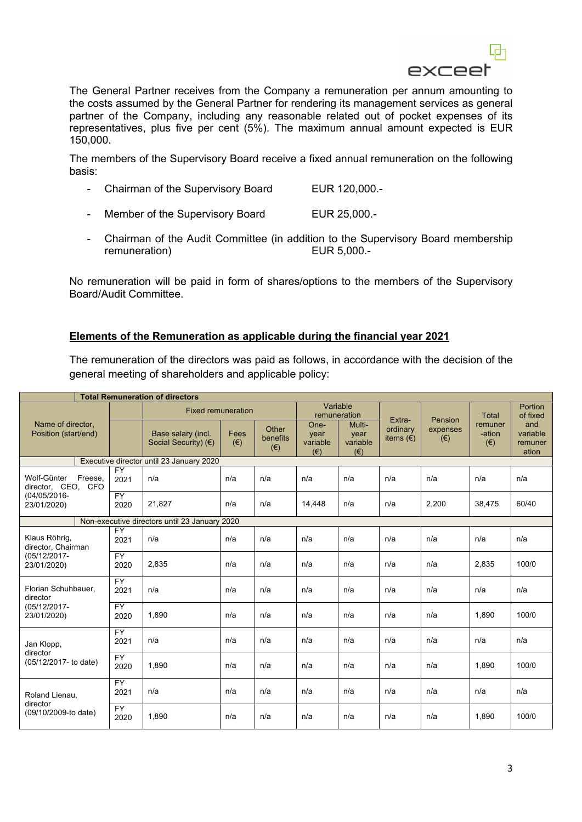

The General Partner receives from the Company a remuneration per annum amounting to the costs assumed by the General Partner for rendering its management services as general partner of the Company, including any reasonable related out of pocket expenses of its representatives, plus five per cent (5%). The maximum annual amount expected is EUR 150,000.

The members of the Supervisory Board receive a fixed annual remuneration on the following basis:

- Chairman of the Supervisory Board EUR 120,000.-
- Member of the Supervisory Board EUR 25,000.-
- Chairman of the Audit Committee (in addition to the Supervisory Board membership remuneration) EUR 5,000.-

No remuneration will be paid in form of shares/options to the members of the Supervisory Board/Audit Committee.

#### **Elements of the Remuneration as applicable during the financial year 2021**

The remuneration of the directors was paid as follows, in accordance with the decision of the general meeting of shareholders and applicable policy:

| <b>Total Remuneration of directors</b>                                      |                         |                                              |                      |                                   |                                          |                                            |                         |                          |                                   |                                     |
|-----------------------------------------------------------------------------|-------------------------|----------------------------------------------|----------------------|-----------------------------------|------------------------------------------|--------------------------------------------|-------------------------|--------------------------|-----------------------------------|-------------------------------------|
|                                                                             |                         | <b>Fixed remuneration</b>                    |                      |                                   | Variable<br>remuneration                 |                                            | Extra-                  | Pension                  | Total                             | Portion<br>of fixed                 |
| Name of director,<br>Position (start/end)                                   |                         | Base salary (incl.<br>Social Security) $(E)$ | Fees<br>$(\epsilon)$ | Other<br>benefits<br>$(\epsilon)$ | One-<br>year<br>variable<br>$(\epsilon)$ | Multi-<br>year<br>variable<br>$(\epsilon)$ | ordinary<br>items $(€)$ | expenses<br>$(\epsilon)$ | remuner<br>-ation<br>$(\epsilon)$ | and<br>variable<br>remuner<br>ation |
| Executive director until 23 January 2020                                    |                         |                                              |                      |                                   |                                          |                                            |                         |                          |                                   |                                     |
| Wolf-Günter<br>Freese.<br>director, CEO, CFO<br>(04/05/2016-<br>23/01/2020) | <b>FY</b><br>2021       | n/a                                          | n/a                  | n/a                               | n/a                                      | n/a                                        | n/a                     | n/a                      | n/a                               | n/a                                 |
|                                                                             | <b>FY</b><br>2020       | 21,827                                       | n/a                  | n/a                               | 14,448                                   | n/a                                        | n/a                     | 2,200                    | 38,475                            | 60/40                               |
| Non-executive directors until 23 January 2020                               |                         |                                              |                      |                                   |                                          |                                            |                         |                          |                                   |                                     |
| Klaus Röhrig,<br>director, Chairman<br>(05/12/2017-<br>23/01/2020)          | <b>FY</b><br>2021       | n/a                                          | n/a                  | n/a                               | n/a                                      | n/a                                        | n/a                     | n/a                      | n/a                               | n/a                                 |
|                                                                             | <b>FY</b><br>2020       | 2,835                                        | n/a                  | n/a                               | n/a                                      | n/a                                        | n/a                     | n/a                      | 2,835                             | 100/0                               |
| Florian Schuhbauer,<br>director<br>(05/12/2017-<br>23/01/2020)              | <b>FY</b><br>2021       | n/a                                          | n/a                  | n/a                               | n/a                                      | n/a                                        | n/a                     | n/a                      | n/a                               | n/a                                 |
|                                                                             | <b>FY</b><br>2020       | 1,890                                        | n/a                  | n/a                               | n/a                                      | n/a                                        | n/a                     | n/a                      | 1,890                             | 100/0                               |
| Jan Klopp,<br>director<br>(05/12/2017- to date)                             | <b>FY</b><br>2021       | n/a                                          | n/a                  | n/a                               | n/a                                      | n/a                                        | n/a                     | n/a                      | n/a                               | n/a                                 |
|                                                                             | <b>FY</b><br>2020       | 1,890                                        | n/a                  | n/a                               | n/a                                      | n/a                                        | n/a                     | n/a                      | 1,890                             | 100/0                               |
| Roland Lienau,<br>director<br>(09/10/2009-to date)                          | $\overline{FY}$<br>2021 | n/a                                          | n/a                  | n/a                               | n/a                                      | n/a                                        | n/a                     | n/a                      | n/a                               | n/a                                 |
|                                                                             | <b>FY</b><br>2020       | 1.890                                        | n/a                  | n/a                               | n/a                                      | n/a                                        | n/a                     | n/a                      | 1.890                             | 100/0                               |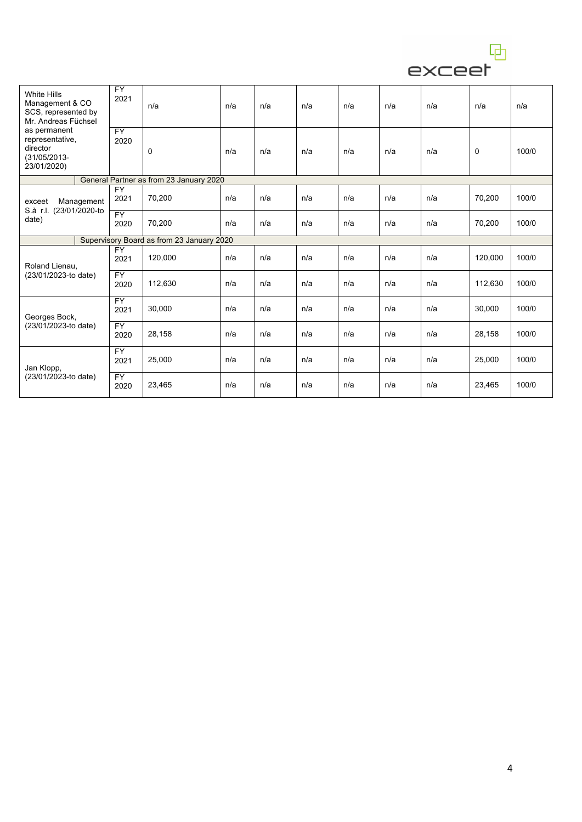

| <b>White Hills</b><br>Management & CO<br>SCS, represented by<br>Mr. Andreas Füchsel<br>as permanent<br>representative,<br>director<br>(31/05/2013-<br>23/01/2020) | <b>FY</b><br>2021       | n/a                                     | n/a | n/a | n/a | n/a | n/a | n/a | n/a     | n/a   |
|-------------------------------------------------------------------------------------------------------------------------------------------------------------------|-------------------------|-----------------------------------------|-----|-----|-----|-----|-----|-----|---------|-------|
|                                                                                                                                                                   | $\overline{FY}$<br>2020 | 0                                       | n/a | n/a | n/a | n/a | n/a | n/a | 0       | 100/0 |
|                                                                                                                                                                   |                         | General Partner as from 23 January 2020 |     |     |     |     |     |     |         |       |
| Management<br>exceet<br>S.à r.l. (23/01/2020-to<br>date)                                                                                                          | <b>FY</b><br>2021       | 70,200                                  | n/a | n/a | n/a | n/a | n/a | n/a | 70,200  | 100/0 |
|                                                                                                                                                                   | $\overline{FY}$<br>2020 | 70,200                                  | n/a | n/a | n/a | n/a | n/a | n/a | 70,200  | 100/0 |
| Supervisory Board as from 23 January 2020                                                                                                                         |                         |                                         |     |     |     |     |     |     |         |       |
| Roland Lienau,<br>(23/01/2023-to date)                                                                                                                            | <b>FY</b><br>2021       | 120,000                                 | n/a | n/a | n/a | n/a | n/a | n/a | 120,000 | 100/0 |
|                                                                                                                                                                   | <b>FY</b><br>2020       | 112,630                                 | n/a | n/a | n/a | n/a | n/a | n/a | 112,630 | 100/0 |
| Georges Bock,<br>(23/01/2023-to date)                                                                                                                             | <b>FY</b><br>2021       | 30,000                                  | n/a | n/a | n/a | n/a | n/a | n/a | 30,000  | 100/0 |
|                                                                                                                                                                   | <b>FY</b><br>2020       | 28,158                                  | n/a | n/a | n/a | n/a | n/a | n/a | 28,158  | 100/0 |
| Jan Klopp,<br>(23/01/2023-to date)                                                                                                                                | <b>FY</b><br>2021       | 25,000                                  | n/a | n/a | n/a | n/a | n/a | n/a | 25,000  | 100/0 |
|                                                                                                                                                                   | <b>FY</b><br>2020       | 23,465                                  | n/a | n/a | n/a | n/a | n/a | n/a | 23,465  | 100/0 |